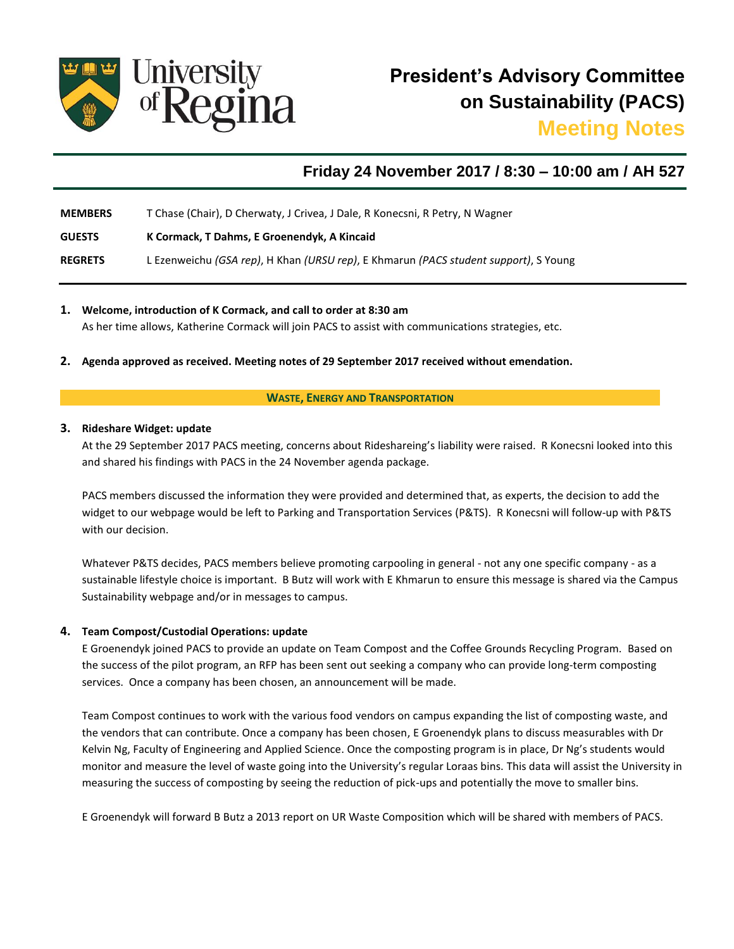

# **Friday 24 November 2017 / 8:30 – 10:00 am / AH 527**

**MEMBERS** T Chase (Chair), D Cherwaty, J Crivea, J Dale, R Konecsni, R Petry, N Wagner

**GUESTS K Cormack, T Dahms, E Groenendyk, A Kincaid**

**REGRETS** L Ezenweichu *(GSA rep)*, H Khan *(URSU rep)*, E Khmarun *(PACS student support)*, S Young

**1. Welcome, introduction of K Cormack, and call to order at 8:30 am** 

As her time allows, Katherine Cormack will join PACS to assist with communications strategies, etc.

**2. Agenda approved as received. Meeting notes of 29 September 2017 received without emendation.**

### **WASTE, ENERGY AND TRANSPORTATION**

## **3. Rideshare Widget: update**

At the 29 September 2017 PACS meeting, concerns about Rideshareing's liability were raised. R Konecsni looked into this and shared his findings with PACS in the 24 November agenda package.

PACS members discussed the information they were provided and determined that, as experts, the decision to add the widget to our webpage would be left to Parking and Transportation Services (P&TS). R Konecsni will follow-up with P&TS with our decision.

Whatever P&TS decides, PACS members believe promoting carpooling in general - not any one specific company - as a sustainable lifestyle choice is important. B Butz will work with E Khmarun to ensure this message is shared via the Campus Sustainability webpage and/or in messages to campus.

## **4. Team Compost/Custodial Operations: update**

E Groenendyk joined PACS to provide an update on Team Compost and the Coffee Grounds Recycling Program. Based on the success of the pilot program, an RFP has been sent out seeking a company who can provide long-term composting services. Once a company has been chosen, an announcement will be made.

Team Compost continues to work with the various food vendors on campus expanding the list of composting waste, and the vendors that can contribute. Once a company has been chosen, E Groenendyk plans to discuss measurables with Dr Kelvin Ng, Faculty of Engineering and Applied Science. Once the composting program is in place, Dr Ng's students would monitor and measure the level of waste going into the University's regular Loraas bins. This data will assist the University in measuring the success of composting by seeing the reduction of pick-ups and potentially the move to smaller bins.

E Groenendyk will forward B Butz a 2013 report on UR Waste Composition which will be shared with members of PACS.